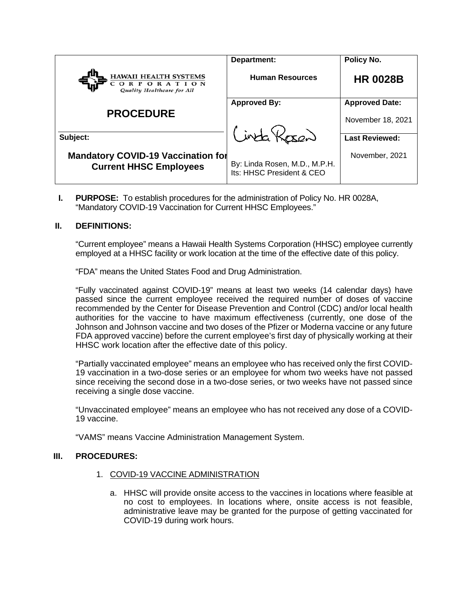| <b>HAWAII HEALTH SYSTEMS</b><br><b>RPORATION</b><br>Quality Healthcare for All | Department:<br><b>Human Resources</b>                      | Policy No.<br><b>HR 0028B</b>              |
|--------------------------------------------------------------------------------|------------------------------------------------------------|--------------------------------------------|
| <b>PROCEDURE</b>                                                               | <b>Approved By:</b>                                        | <b>Approved Date:</b><br>November 18, 2021 |
| Subject:                                                                       | Cinta Kosen                                                | <b>Last Reviewed:</b>                      |
| <b>Mandatory COVID-19 Vaccination for</b><br><b>Current HHSC Employees</b>     | By: Linda Rosen, M.D., M.P.H.<br>Its: HHSC President & CEO | November, 2021                             |

**I. PURPOSE:** To establish procedures for the administration of Policy No. HR 0028A, "Mandatory COVID-19 Vaccination for Current HHSC Employees."

# **II. DEFINITIONS:**

"Current employee" means a Hawaii Health Systems Corporation (HHSC) employee currently employed at a HHSC facility or work location at the time of the effective date of this policy.

"FDA" means the United States Food and Drug Administration.

"Fully vaccinated against COVID-19" means at least two weeks (14 calendar days) have passed since the current employee received the required number of doses of vaccine recommended by the Center for Disease Prevention and Control (CDC) and/or local health authorities for the vaccine to have maximum effectiveness (currently, one dose of the Johnson and Johnson vaccine and two doses of the Pfizer or Moderna vaccine or any future FDA approved vaccine) before the current employee's first day of physically working at their HHSC work location after the effective date of this policy.

"Partially vaccinated employee" means an employee who has received only the first COVID-19 vaccination in a two-dose series or an employee for whom two weeks have not passed since receiving the second dose in a two-dose series, or two weeks have not passed since receiving a single dose vaccine.

"Unvaccinated employee" means an employee who has not received any dose of a COVID-19 vaccine.

"VAMS" means Vaccine Administration Management System.

# **III. PROCEDURES:**

- 1. COVID-19 VACCINE ADMINISTRATION
	- a. HHSC will provide onsite access to the vaccines in locations where feasible at no cost to employees. In locations where, onsite access is not feasible, administrative leave may be granted for the purpose of getting vaccinated for COVID-19 during work hours.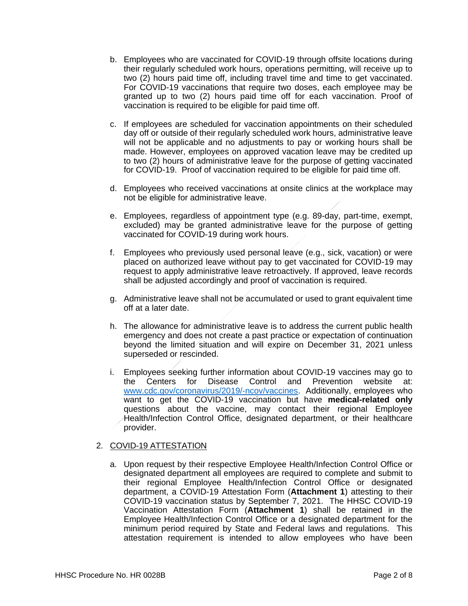- b. Employees who are vaccinated for COVID-19 through offsite locations during their regularly scheduled work hours, operations permitting, will receive up to two (2) hours paid time off, including travel time and time to get vaccinated. For COVID-19 vaccinations that require two doses, each employee may be granted up to two (2) hours paid time off for each vaccination. Proof of vaccination is required to be eligible for paid time off.
- c. If employees are scheduled for vaccination appointments on their scheduled day off or outside of their regularly scheduled work hours, administrative leave will not be applicable and no adjustments to pay or working hours shall be made. However, employees on approved vacation leave may be credited up to two (2) hours of administrative leave for the purpose of getting vaccinated for COVID-19. Proof of vaccination required to be eligible for paid time off.
- d. Employees who received vaccinations at onsite clinics at the workplace may not be eligible for administrative leave.
- e. Employees, regardless of appointment type (e.g. 89-day, part-time, exempt, excluded) may be granted administrative leave for the purpose of getting vaccinated for COVID-19 during work hours.
- f. Employees who previously used personal leave (e.g., sick, vacation) or were placed on authorized leave without pay to get vaccinated for COVID-19 may request to apply administrative leave retroactively. If approved, leave records shall be adjusted accordingly and proof of vaccination is required.
- g. Administrative leave shall not be accumulated or used to grant equivalent time off at a later date.
- h. The allowance for administrative leave is to address the current public health emergency and does not create a past practice or expectation of continuation beyond the limited situation and will expire on December 31, 2021 unless superseded or rescinded.
- i. Employees seeking further information about COVID-19 vaccines may go to the Centers for Disease Control and Prevention website at: [www.cdc.gov/coronavirus/2019/-ncov/vaccines.](http://www.cdc.gov/coronavirus/2019/-ncov/vaccines) Additionally, employees who want to get the COVID-19 vaccination but have **medical-related only** questions about the vaccine, may contact their regional Employee Health/Infection Control Office, designated department, or their healthcare provider.

# 2. COVID-19 ATTESTATION

a. Upon request by their respective Employee Health/Infection Control Office or designated department all employees are required to complete and submit to their regional Employee Health/Infection Control Office or designated department, a COVID-19 Attestation Form (**Attachment 1**) attesting to their COVID-19 vaccination status by September 7, 2021. The HHSC COVID-19 Vaccination Attestation Form (**Attachment 1**) shall be retained in the Employee Health/Infection Control Office or a designated department for the minimum period required by State and Federal laws and regulations. This attestation requirement is intended to allow employees who have been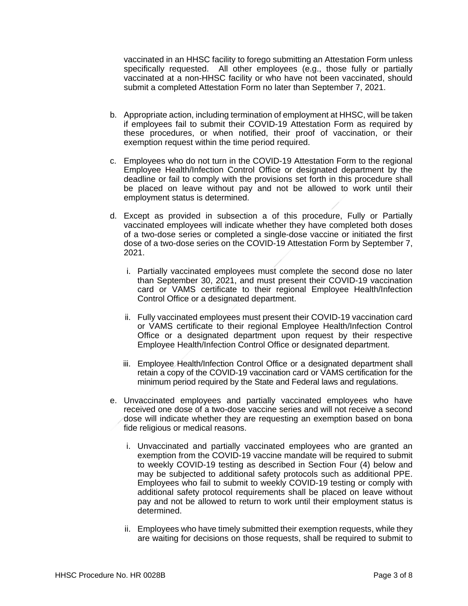vaccinated in an HHSC facility to forego submitting an Attestation Form unless specifically requested. All other employees (e.g., those fully or partially vaccinated at a non-HHSC facility or who have not been vaccinated, should submit a completed Attestation Form no later than September 7, 2021.

- b. Appropriate action, including termination of employment at HHSC, will be taken if employees fail to submit their COVID-19 Attestation Form as required by these procedures, or when notified, their proof of vaccination, or their exemption request within the time period required.
- c. Employees who do not turn in the COVID-19 Attestation Form to the regional Employee Health/Infection Control Office or designated department by the deadline or fail to comply with the provisions set forth in this procedure shall be placed on leave without pay and not be allowed to work until their employment status is determined.
- d. Except as provided in subsection a of this procedure, Fully or Partially vaccinated employees will indicate whether they have completed both doses of a two-dose series or completed a single-dose vaccine or initiated the first dose of a two-dose series on the COVID-19 Attestation Form by September 7, 2021.
	- i. Partially vaccinated employees must complete the second dose no later than September 30, 2021, and must present their COVID-19 vaccination card or VAMS certificate to their regional Employee Health/Infection Control Office or a designated department.
	- ii. Fully vaccinated employees must present their COVID-19 vaccination card or VAMS certificate to their regional Employee Health/Infection Control Office or a designated department upon request by their respective Employee Health/Infection Control Office or designated department.
	- iii. Employee Health/Infection Control Office or a designated department shall retain a copy of the COVID-19 vaccination card or VAMS certification for the minimum period required by the State and Federal laws and regulations.
- e. Unvaccinated employees and partially vaccinated employees who have received one dose of a two-dose vaccine series and will not receive a second dose will indicate whether they are requesting an exemption based on bona fide religious or medical reasons.
	- i. Unvaccinated and partially vaccinated employees who are granted an exemption from the COVID-19 vaccine mandate will be required to submit to weekly COVID-19 testing as described in Section Four (4) below and may be subjected to additional safety protocols such as additional PPE. Employees who fail to submit to weekly COVID-19 testing or comply with additional safety protocol requirements shall be placed on leave without pay and not be allowed to return to work until their employment status is determined.
	- ii. Employees who have timely submitted their exemption requests, while they are waiting for decisions on those requests, shall be required to submit to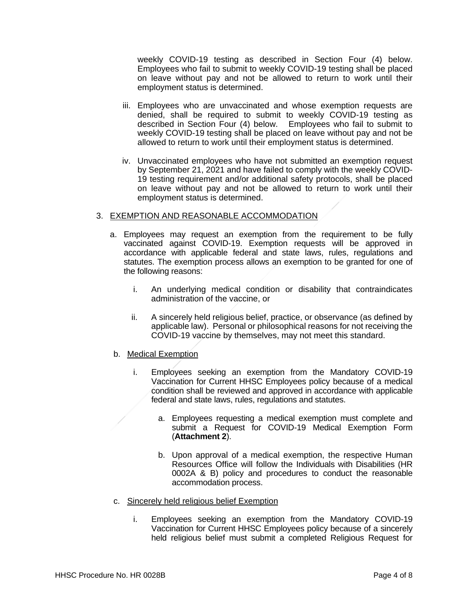weekly COVID-19 testing as described in Section Four (4) below. Employees who fail to submit to weekly COVID-19 testing shall be placed on leave without pay and not be allowed to return to work until their employment status is determined.

- iii. Employees who are unvaccinated and whose exemption requests are denied, shall be required to submit to weekly COVID-19 testing as described in Section Four (4) below. Employees who fail to submit to weekly COVID-19 testing shall be placed on leave without pay and not be allowed to return to work until their employment status is determined.
- iv. Unvaccinated employees who have not submitted an exemption request by September 21, 2021 and have failed to comply with the weekly COVID-19 testing requirement and/or additional safety protocols, shall be placed on leave without pay and not be allowed to return to work until their employment status is determined.

## 3. EXEMPTION AND REASONABLE ACCOMMODATION

- a. Employees may request an exemption from the requirement to be fully vaccinated against COVID-19. Exemption requests will be approved in accordance with applicable federal and state laws, rules, regulations and statutes. The exemption process allows an exemption to be granted for one of the following reasons:
	- i. An underlying medical condition or disability that contraindicates administration of the vaccine, or
	- ii. A sincerely held religious belief, practice, or observance (as defined by applicable law). Personal or philosophical reasons for not receiving the COVID-19 vaccine by themselves, may not meet this standard.
- b. Medical Exemption
	- i. Employees seeking an exemption from the Mandatory COVID-19 Vaccination for Current HHSC Employees policy because of a medical condition shall be reviewed and approved in accordance with applicable federal and state laws, rules, regulations and statutes.
		- a. Employees requesting a medical exemption must complete and submit a Request for COVID-19 Medical Exemption Form (**Attachment 2**).
		- b. Upon approval of a medical exemption, the respective Human Resources Office will follow the Individuals with Disabilities (HR 0002A & B) policy and procedures to conduct the reasonable accommodation process.
- c. Sincerely held religious belief Exemption
	- i. Employees seeking an exemption from the Mandatory COVID-19 Vaccination for Current HHSC Employees policy because of a sincerely held religious belief must submit a completed Religious Request for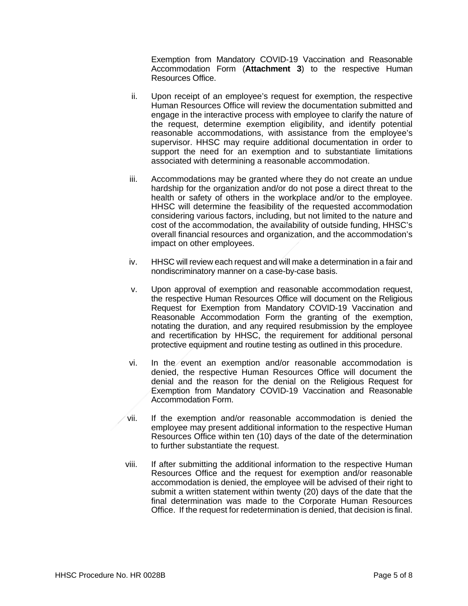Exemption from Mandatory COVID-19 Vaccination and Reasonable Accommodation Form (**Attachment 3**) to the respective Human Resources Office.

- ii. Upon receipt of an employee's request for exemption, the respective Human Resources Office will review the documentation submitted and engage in the interactive process with employee to clarify the nature of the request, determine exemption eligibility, and identify potential reasonable accommodations, with assistance from the employee's supervisor. HHSC may require additional documentation in order to support the need for an exemption and to substantiate limitations associated with determining a reasonable accommodation.
- iii. Accommodations may be granted where they do not create an undue hardship for the organization and/or do not pose a direct threat to the health or safety of others in the workplace and/or to the employee. HHSC will determine the feasibility of the requested accommodation considering various factors, including, but not limited to the nature and cost of the accommodation, the availability of outside funding, HHSC's overall financial resources and organization, and the accommodation's impact on other employees.
- iv. HHSC will review each request and will make a determination in a fair and nondiscriminatory manner on a case-by-case basis.
- v. Upon approval of exemption and reasonable accommodation request, the respective Human Resources Office will document on the Religious Request for Exemption from Mandatory COVID-19 Vaccination and Reasonable Accommodation Form the granting of the exemption, notating the duration, and any required resubmission by the employee and recertification by HHSC, the requirement for additional personal protective equipment and routine testing as outlined in this procedure.
- vi. In the event an exemption and/or reasonable accommodation is denied, the respective Human Resources Office will document the denial and the reason for the denial on the Religious Request for Exemption from Mandatory COVID-19 Vaccination and Reasonable Accommodation Form.
- $\sqrt{v}$  vii. If the exemption and/or reasonable accommodation is denied the employee may present additional information to the respective Human Resources Office within ten (10) days of the date of the determination to further substantiate the request.
- viii. If after submitting the additional information to the respective Human Resources Office and the request for exemption and/or reasonable accommodation is denied, the employee will be advised of their right to submit a written statement within twenty (20) days of the date that the final determination was made to the Corporate Human Resources Office. If the request for redetermination is denied, that decision is final.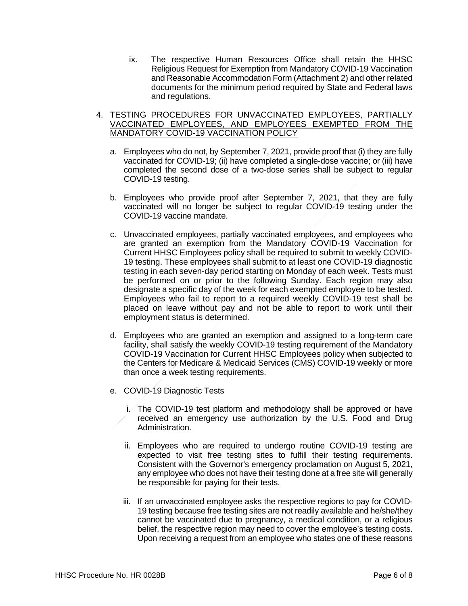- ix. The respective Human Resources Office shall retain the HHSC Religious Request for Exemption from Mandatory COVID-19 Vaccination and Reasonable Accommodation Form (Attachment 2) and other related documents for the minimum period required by State and Federal laws and regulations.
- 4. TESTING PROCEDURES FOR UNVACCINATED EMPLOYEES, PARTIALLY VACCINATED EMPLOYEES, AND EMPLOYEES EXEMPTED FROM THE MANDATORY COVID-19 VACCINATION POLICY
	- a. Employees who do not, by September 7, 2021, provide proof that (i) they are fully vaccinated for COVID-19; (ii) have completed a single-dose vaccine; or (iii) have completed the second dose of a two-dose series shall be subject to regular COVID-19 testing.
	- b. Employees who provide proof after September 7, 2021, that they are fully vaccinated will no longer be subject to regular COVID-19 testing under the COVID-19 vaccine mandate.
	- c. Unvaccinated employees, partially vaccinated employees, and employees who are granted an exemption from the Mandatory COVID-19 Vaccination for Current HHSC Employees policy shall be required to submit to weekly COVID-19 testing. These employees shall submit to at least one COVID-19 diagnostic testing in each seven-day period starting on Monday of each week. Tests must be performed on or prior to the following Sunday. Each region may also designate a specific day of the week for each exempted employee to be tested. Employees who fail to report to a required weekly COVID-19 test shall be placed on leave without pay and not be able to report to work until their employment status is determined.
	- d. Employees who are granted an exemption and assigned to a long-term care facility, shall satisfy the weekly COVID-19 testing requirement of the Mandatory COVID-19 Vaccination for Current HHSC Employees policy when subjected to the Centers for Medicare & Medicaid Services (CMS) COVID-19 weekly or more than once a week testing requirements.
	- e. COVID-19 Diagnostic Tests
		- i. The COVID-19 test platform and methodology shall be approved or have received an emergency use authorization by the U.S. Food and Drug Administration.
		- ii. Employees who are required to undergo routine COVID-19 testing are expected to visit free testing sites to fulfill their testing requirements. Consistent with the Governor's emergency proclamation on August 5, 2021, any employee who does not have their testing done at a free site will generally be responsible for paying for their tests.
		- iii. If an unvaccinated employee asks the respective regions to pay for COVID-19 testing because free testing sites are not readily available and he/she/they cannot be vaccinated due to pregnancy, a medical condition, or a religious belief, the respective region may need to cover the employee's testing costs. Upon receiving a request from an employee who states one of these reasons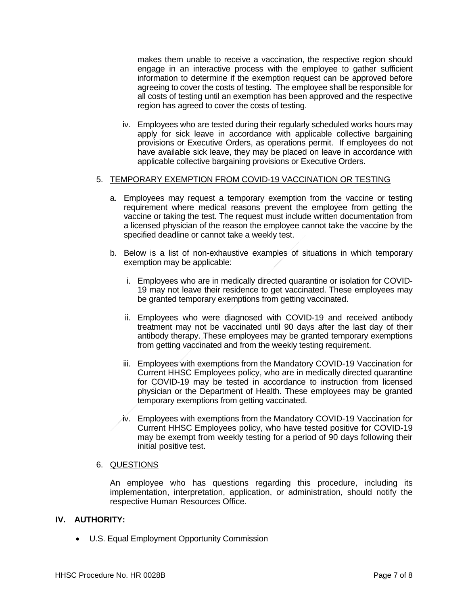makes them unable to receive a vaccination, the respective region should engage in an interactive process with the employee to gather sufficient information to determine if the exemption request can be approved before agreeing to cover the costs of testing. The employee shall be responsible for all costs of testing until an exemption has been approved and the respective region has agreed to cover the costs of testing.

iv. Employees who are tested during their regularly scheduled works hours may apply for sick leave in accordance with applicable collective bargaining provisions or Executive Orders, as operations permit. If employees do not have available sick leave, they may be placed on leave in accordance with applicable collective bargaining provisions or Executive Orders.

### 5. TEMPORARY EXEMPTION FROM COVID-19 VACCINATION OR TESTING

- a. Employees may request a temporary exemption from the vaccine or testing requirement where medical reasons prevent the employee from getting the vaccine or taking the test. The request must include written documentation from a licensed physician of the reason the employee cannot take the vaccine by the specified deadline or cannot take a weekly test.
- b. Below is a list of non-exhaustive examples of situations in which temporary exemption may be applicable:
	- i. Employees who are in medically directed quarantine or isolation for COVID-19 may not leave their residence to get vaccinated. These employees may be granted temporary exemptions from getting vaccinated.
	- ii. Employees who were diagnosed with COVID-19 and received antibody treatment may not be vaccinated until 90 days after the last day of their antibody therapy. These employees may be granted temporary exemptions from getting vaccinated and from the weekly testing requirement.
	- iii. Employees with exemptions from the Mandatory COVID-19 Vaccination for Current HHSC Employees policy, who are in medically directed quarantine for COVID-19 may be tested in accordance to instruction from licensed physician or the Department of Health. These employees may be granted temporary exemptions from getting vaccinated.
	- iv. Employees with exemptions from the Mandatory COVID-19 Vaccination for Current HHSC Employees policy, who have tested positive for COVID-19 may be exempt from weekly testing for a period of 90 days following their initial positive test.

## 6. QUESTIONS

An employee who has questions regarding this procedure, including its implementation, interpretation, application, or administration, should notify the respective Human Resources Office.

## **IV. AUTHORITY:**

• U.S. Equal Employment Opportunity Commission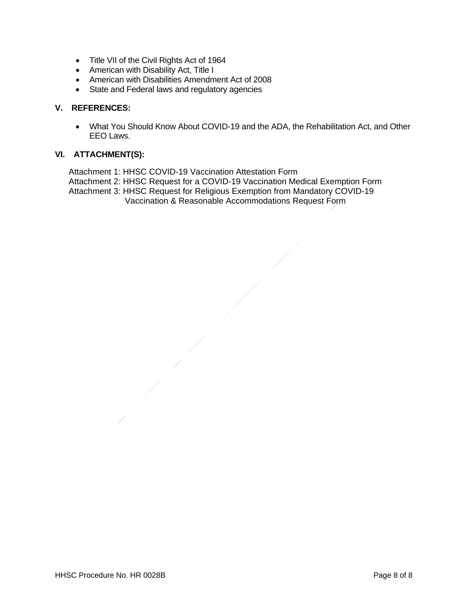- Title VII of the Civil Rights Act of 1964
- American with Disability Act, Title I
- American with Disabilities Amendment Act of 2008
- State and Federal laws and regulatory agencies

## **V. REFERENCES:**

• What You Should Know About COVID-19 and the ADA, the Rehabilitation Act, and Other EEO Laws.

## **VI. ATTACHMENT(S):**

Attachment 1: HHSC COVID-19 Vaccination Attestation Form Attachment 2: HHSC Request for a COVID-19 Vaccination Medical Exemption Form Attachment 3: HHSC Request for Religious Exemption from Mandatory COVID-19 Vaccination & Reasonable Accommodations Request Form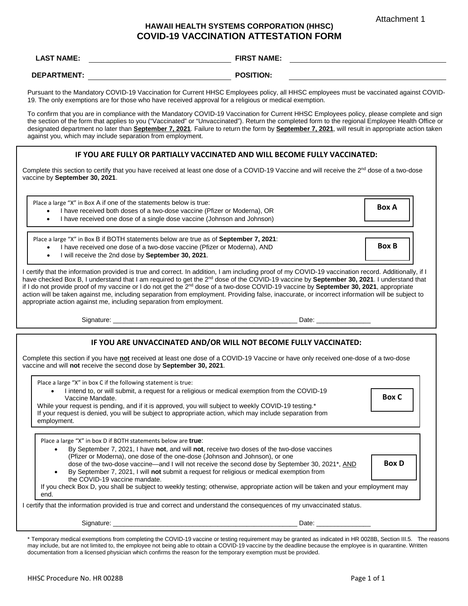Attachment 1

## **HAWAII HEALTH SYSTEMS CORPORATION (HHSC) COVID-19 VACCINATION ATTESTATION FORM**

| <b>LAST NAME:</b>  | <b>FIRST NAME:</b> |
|--------------------|--------------------|
| <b>DEPARTMENT:</b> | <b>POSITION:</b>   |

Pursuant to the Mandatory COVID-19 Vaccination for Current HHSC Employees policy, all HHSC employees must be vaccinated against COVID-19. The only exemptions are for those who have received approval for a religious or medical exemption.

To confirm that you are in compliance with the Mandatory COVID-19 Vaccination for Current HHSC Employees policy, please complete and sign the section of the form that applies to you ("Vaccinated" or "Unvaccinated"). Return the completed form to the regional Employee Health Office or designated department no later than **September 7, 2021**. Failure to return the form by **September 7, 2021**, will result in appropriate action taken against you, which may include separation from employment.

#### **IF YOU ARE FULLY OR PARTIALLY VACCINATED AND WILL BECOME FULLY VACCINATED:**

Complete this section to certify that you have received at least one dose of a COVID-19 Vaccine and will receive the 2<sup>nd</sup> dose of a two-dose vaccine by **September 30, 2021**.

| Place a large "X" in Box A if one of the statements below is true:<br><b>Box A</b><br>I have received both doses of a two-dose vaccine (Pfizer or Moderna), OR<br>I have received one dose of a single dose vaccine (Johnson and Johnson)<br>$\bullet$                                                                                                                                                                                                                                                                                                                                                                                                                                                |  |  |
|-------------------------------------------------------------------------------------------------------------------------------------------------------------------------------------------------------------------------------------------------------------------------------------------------------------------------------------------------------------------------------------------------------------------------------------------------------------------------------------------------------------------------------------------------------------------------------------------------------------------------------------------------------------------------------------------------------|--|--|
| Place a large "X" in Box B if BOTH statements below are true as of September 7, 2021:<br><b>Box B</b><br>I have received one dose of a two-dose vaccine (Pfizer or Moderna), AND<br>I will receive the 2nd dose by September 30, 2021.<br>$\bullet$                                                                                                                                                                                                                                                                                                                                                                                                                                                   |  |  |
| I certify that the information provided is true and correct. In addition, I am including proof of my COVID-19 vaccination record. Additionally, if I<br>have checked Box B, I understand that I am required to get the 2 <sup>nd</sup> dose of the COVID-19 vaccine by September 30, 2021. I understand that<br>if I do not provide proof of my vaccine or I do not get the 2 <sup>nd</sup> dose of a two-dose COVID-19 vaccine by <b>September 30, 2021</b> , appropriate<br>action will be taken against me, including separation from employment. Providing false, inaccurate, or incorrect information will be subject to<br>appropriate action against me, including separation from employment. |  |  |
| Date: ________________                                                                                                                                                                                                                                                                                                                                                                                                                                                                                                                                                                                                                                                                                |  |  |
| IF YOU ARE UNVACCINATED AND/OR WILL NOT BECOME FULLY VACCINATED:                                                                                                                                                                                                                                                                                                                                                                                                                                                                                                                                                                                                                                      |  |  |
| Complete this section if you have not received at least one dose of a COVID-19 Vaccine or have only received one-dose of a two-dose<br>vaccine and will not receive the second dose by September 30, 2021.                                                                                                                                                                                                                                                                                                                                                                                                                                                                                            |  |  |
| Place a large "X" in box C if the following statement is true:<br>I intend to, or will submit, a request for a religious or medical exemption from the COVID-19<br><b>Box C</b><br>Vaccine Mandate.<br>While your request is pending, and if it is approved, you will subject to weekly COVID-19 testing.*<br>If your request is denied, you will be subject to appropriate action, which may include separation from<br>employment.                                                                                                                                                                                                                                                                  |  |  |
| Place a large "X" in box D if BOTH statements below are true:<br>By September 7, 2021, I have not, and will not, receive two doses of the two-dose vaccines<br>$\bullet$<br>(Pfizer or Moderna), one dose of the one-dose (Johnson and Johnson), or one<br><b>Box D</b><br>dose of the two-dose vaccine—and I will not receive the second dose by September 30, 2021*, AND<br>By September 7, 2021, I will not submit a request for religious or medical exemption from<br>$\bullet$<br>the COVID-19 vaccine mandate.<br>If you check Box D, you shall be subject to weekly testing; otherwise, appropriate action will be taken and your employment may<br>end.                                      |  |  |
| I certify that the information provided is true and correct and understand the consequences of my unvaccinated status.                                                                                                                                                                                                                                                                                                                                                                                                                                                                                                                                                                                |  |  |
| Date: ________________                                                                                                                                                                                                                                                                                                                                                                                                                                                                                                                                                                                                                                                                                |  |  |
| $\mathbf{r}$ $\mathbf{r}$ $\mathbf{r}$ $\mathbf{r}$ $\mathbf{r}$ $\mathbf{r}$ $\mathbf{r}$ $\mathbf{r}$ $\mathbf{r}$ $\mathbf{r}$ $\mathbf{r}$ $\mathbf{r}$ $\mathbf{r}$ $\mathbf{r}$ $\mathbf{r}$ $\mathbf{r}$ $\mathbf{r}$ $\mathbf{r}$ $\mathbf{r}$ $\mathbf{r}$ $\mathbf{r}$ $\mathbf{r}$ $\mathbf{r}$ $\mathbf{r}$ $\mathbf{$                                                                                                                                                                                                                                                                                                                                                                    |  |  |

Temporary medical exemptions from completing the COVID-19 vaccine or testing requirement may be granted as indicated in HR 0028B, Section III.5. The reasons may include, but are not limited to, the employee not being able to obtain a COVID-19 vaccine by the deadline because the employee is in quarantine. Written documentation from a licensed physician which confirms the reason for the temporary exemption must be provided.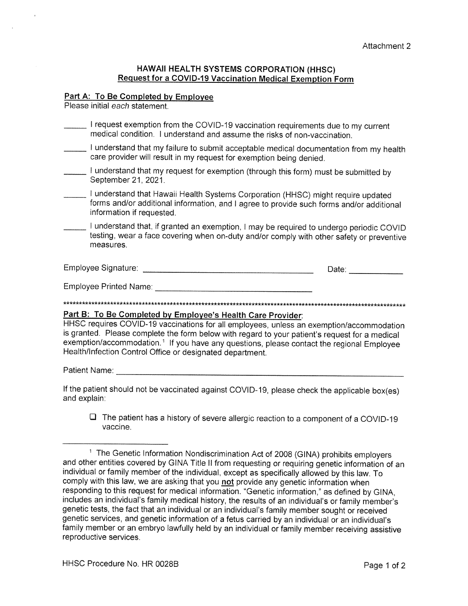### HAWAII HEALTH SYSTEMS CORPORATION (HHSC) **Request for a COVID-19 Vaccination Medical Exemption Form**

### Part A: To Be Completed by Employee

Please initial each statement.

- I request exemption from the COVID-19 vaccination requirements due to my current medical condition. I understand and assume the risks of non-vaccination.
- I understand that my failure to submit acceptable medical documentation from my health care provider will result in my request for exemption being denied.
- I understand that my request for exemption (through this form) must be submitted by September 21, 2021.
- I understand that Hawaii Health Systems Corporation (HHSC) might require updated forms and/or additional information, and I agree to provide such forms and/or additional information if requested.
- I understand that, if granted an exemption, I may be required to undergo periodic COVID testing, wear a face covering when on-duty and/or comply with other safety or preventive measures.

| Employee Signature: | Date. |  |
|---------------------|-------|--|
|                     |       |  |

## Part B: To Be Completed by Employee's Health Care Provider:

HHSC requires COVID-19 vaccinations for all employees, unless an exemption/accommodation is granted. Please complete the form below with regard to your patient's request for a medical exemption/accommodation.<sup>1</sup> If you have any questions, please contact the regional Employee Health/Infection Control Office or designated department.

If the patient should not be vaccinated against COVID-19, please check the applicable box(es) and explain:

 $\Box$  The patient has a history of severe allergic reaction to a component of a COVID-19 vaccine.

<sup>&</sup>lt;sup>1</sup> The Genetic Information Nondiscrimination Act of 2008 (GINA) prohibits employers and other entities covered by GINA Title II from requesting or requiring genetic information of an individual or family member of the individual, except as specifically allowed by this law. To comply with this law, we are asking that you not provide any genetic information when responding to this request for medical information. "Genetic information," as defined by GINA, includes an individual's family medical history, the results of an individual's or family member's genetic tests, the fact that an individual or an individual's family member sought or received genetic services, and genetic information of a fetus carried by an individual or an individual's family member or an embryo lawfully held by an individual or family member receiving assistive reproductive services.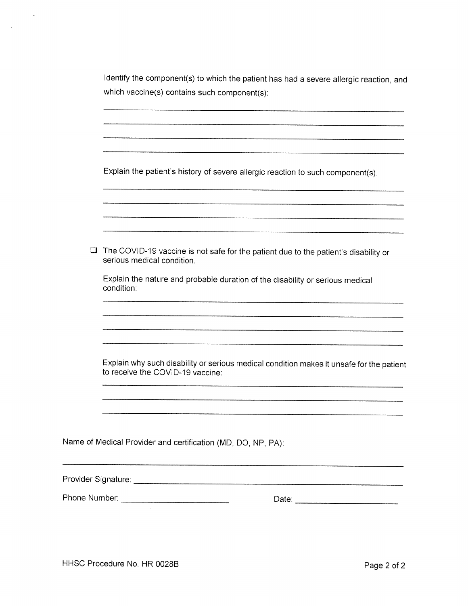| Identify the component(s) to which the patient has had a severe allergic reaction, and |
|----------------------------------------------------------------------------------------|
| which vaccine(s) contains such component(s):                                           |

Explain the patient's history of severe allergic reaction to such component(s).

| $\Box$ | The COVID-19 vaccine is not safe for the patient due to the patient's disability or<br>serious medical condition.            |
|--------|------------------------------------------------------------------------------------------------------------------------------|
|        | Explain the nature and probable duration of the disability or serious medical<br>condition:                                  |
|        |                                                                                                                              |
|        | Explain why such disability or serious medical condition makes it unsafe for the patient<br>to receive the COVID-19 vaccine: |
|        |                                                                                                                              |
|        | Name of Medical Provider and certification (MD, DO, NP, PA):                                                                 |
|        |                                                                                                                              |
|        |                                                                                                                              |
|        |                                                                                                                              |

 $\sim$ 

 $\sim 10^{-1}$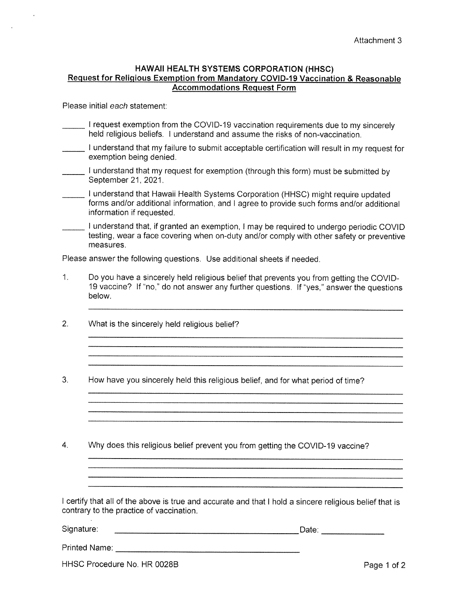### HAWAII HEALTH SYSTEMS CORPORATION (HHSC) Request for Religious Exemption from Mandatory COVID-19 Vaccination & Reasonable **Accommodations Request Form**

Please initial each statement:

- I request exemption from the COVID-19 vaccination requirements due to my sincerely held religious beliefs. I understand and assume the risks of non-vaccination.
- I understand that my failure to submit acceptable certification will result in my request for exemption being denied.
- I understand that my request for exemption (through this form) must be submitted by September 21, 2021.
- I understand that Hawaii Health Systems Corporation (HHSC) might require updated forms and/or additional information, and I agree to provide such forms and/or additional information if requested.
- I understand that, if granted an exemption, I may be required to undergo periodic COVID testing, wear a face covering when on-duty and/or comply with other safety or preventive measures.

Please answer the following questions. Use additional sheets if needed.

 $1<sub>1</sub>$ Do you have a sincerely held religious belief that prevents you from getting the COVID-19 vaccine? If "no," do not answer any further questions. If "yes," answer the questions below.

- $2.$ What is the sincerely held religious belief?
- 3. How have you sincerely held this religious belief, and for what period of time?
- $4.$ Why does this religious belief prevent you from getting the COVID-19 vaccine?

I certify that all of the above is true and accurate and that I hold a sincere religious belief that is contrary to the practice of vaccination.

Signature:

| Printed Name: |  |
|---------------|--|
|               |  |

HHSC Procedure No. HR 0028B